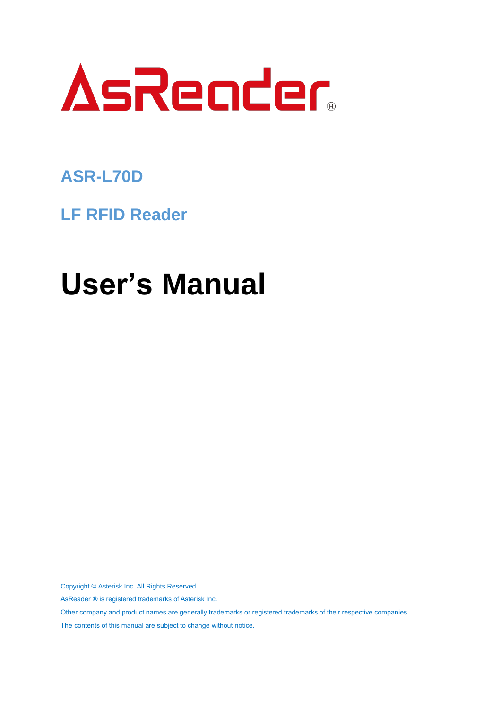

## **ASR-L70D**

**LF RFID Reader**

# **User's Manual**

Copyright © Asterisk Inc. All Rights Reserved.

AsReader ® is registered trademarks of Asterisk Inc.

Other company and product names are generally trademarks or registered trademarks of their respective companies.

The contents of this manual are subject to change without notice.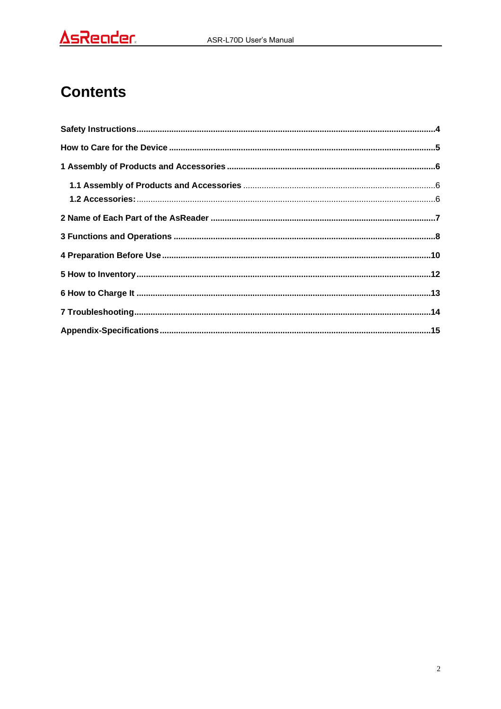### **Contents**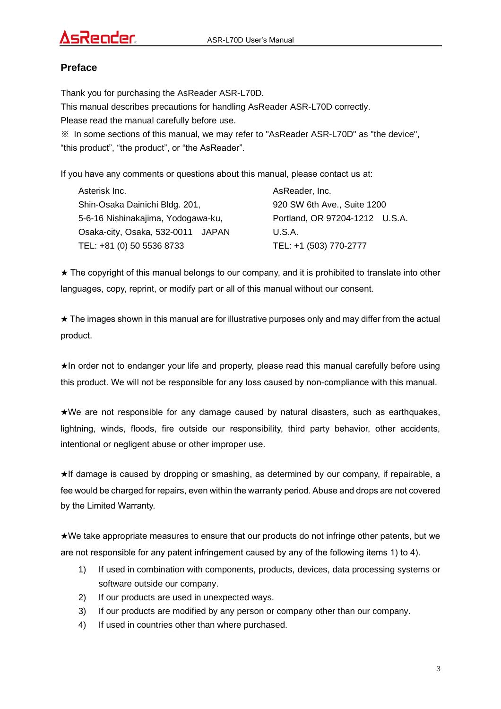#### **Preface**

Thank you for purchasing the AsReader ASR-L70D. This manual describes precautions for handling AsReader ASR-L70D correctly. Please read the manual carefully before use. ※ In some sections of this manual, we may refer to "AsReader ASR-L70D" as "the device", "this product", "the product", or "the AsReader".

If you have any comments or questions about this manual, please contact us at:

| Asterisk Inc.                      | AsReader, Inc.                 |
|------------------------------------|--------------------------------|
| Shin-Osaka Dainichi Bldg. 201,     | 920 SW 6th Ave., Suite 1200    |
| 5-6-16 Nishinakajima, Yodogawa-ku, | Portland, OR 97204-1212 U.S.A. |
| Osaka-city, Osaka, 532-0011 JAPAN  | U.S.A.                         |
| TEL: +81 (0) 50 5536 8733          | TEL: +1 (503) 770-2777         |

★ The copyright of this manual belongs to our company, and it is prohibited to translate into other languages, copy, reprint, or modify part or all of this manual without our consent.

 $\star$  The images shown in this manual are for illustrative purposes only and may differ from the actual product.

★In order not to endanger your life and property, please read this manual carefully before using this product. We will not be responsible for any loss caused by non-compliance with this manual.

★We are not responsible for any damage caused by natural disasters, such as earthquakes, lightning, winds, floods, fire outside our responsibility, third party behavior, other accidents, intentional or negligent abuse or other improper use.

★If damage is caused by dropping or smashing, as determined by our company, if repairable, a fee would be charged for repairs, even within the warranty period. Abuse and drops are not covered by the Limited Warranty.

★We take appropriate measures to ensure that our products do not infringe other patents, but we are not responsible for any patent infringement caused by any of the following items 1) to 4).

- 1) If used in combination with components, products, devices, data processing systems or software outside our company.
- 2) If our products are used in unexpected ways.
- 3) If our products are modified by any person or company other than our company.
- 4) If used in countries other than where purchased.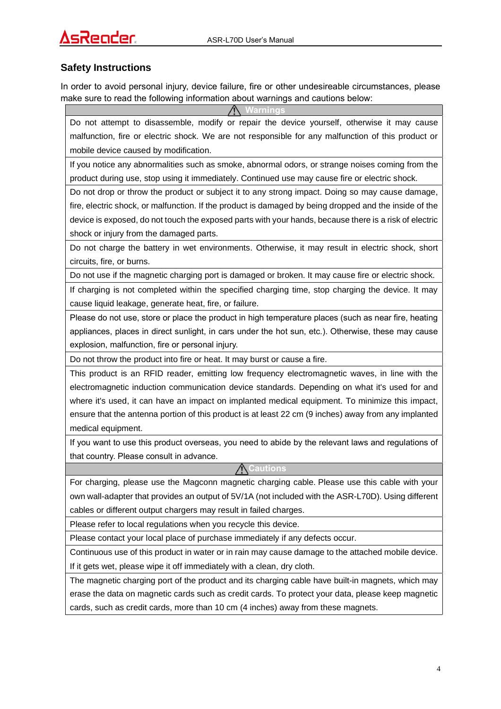#### **Safety Instructions**

In order to avoid personal injury, device failure, fire or other undesireable circumstances, please make sure to read the following information about warnings and cautions below:

**Warnings**

Do not attempt to disassemble, modify or repair the device yourself, otherwise it may cause malfunction, fire or electric shock. We are not responsible for any malfunction of this product or mobile device caused by modification.

If you notice any abnormalities such as smoke, abnormal odors, or strange noises coming from the product during use, stop using it immediately. Continued use may cause fire or electric shock.

Do not drop or throw the product or subject it to any strong impact. Doing so may cause damage, fire, electric shock, or malfunction. If the product is damaged by being dropped and the inside of the device is exposed, do not touch the exposed parts with your hands, because there is a risk of electric shock or injury from the damaged parts.

Do not charge the battery in wet environments. Otherwise, it may result in electric shock, short circuits, fire, or burns.

Do not use if the magnetic charging port is damaged or broken. It may cause fire or electric shock.

If charging is not completed within the specified charging time, stop charging the device. It may cause liquid leakage, generate heat, fire, or failure.

Please do not use, store or place the product in high temperature places (such as near fire, heating appliances, places in direct sunlight, in cars under the hot sun, etc.). Otherwise, these may cause explosion, malfunction, fire or personal injury.

Do not throw the product into fire or heat. It may burst or cause a fire.

This product is an RFID reader, emitting low frequency electromagnetic waves, in line with the electromagnetic induction communication device standards. Depending on what it's used for and where it's used, it can have an impact on implanted medical equipment. To minimize this impact, ensure that the antenna portion of this product is at least 22 cm (9 inches) away from any implanted medical equipment.

If you want to use this product overseas, you need to abide by the relevant laws and regulations of that country. Please consult in advance.

**Cautions**

For charging, please use the Magconn magnetic charging cable. Please use this cable with your own wall-adapter that provides an output of 5V/1A (not included with the ASR-L70D). Using different cables or different output chargers may result in failed charges.

Please refer to local regulations when you recycle this device.

Please contact your local place of purchase immediately if any defects occur.

Continuous use of this product in water or in rain may cause damage to the attached mobile device. If it gets wet, please wipe it off immediately with a clean, dry cloth.

The magnetic charging port of the product and its charging cable have built-in magnets, which may erase the data on magnetic cards such as credit cards. To protect your data, please keep magnetic cards, such as credit cards, more than 10 cm (4 inches) away from these magnets.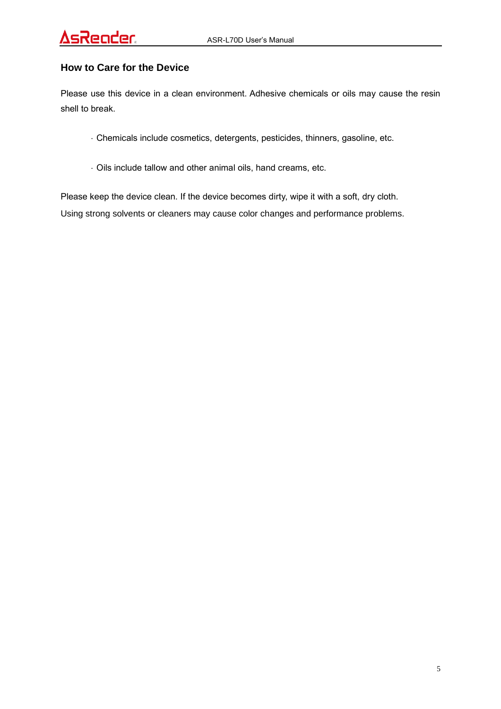### ender

#### **How to Care for the Device**

Please use this device in a clean environment. Adhesive chemicals or oils may cause the resin shell to break.

- Chemicals include cosmetics, detergents, pesticides, thinners, gasoline, etc.
- Oils include tallow and other animal oils, hand creams, etc.

Please keep the device clean. If the device becomes dirty, wipe it with a soft, dry cloth. Using strong solvents or cleaners may cause color changes and performance problems.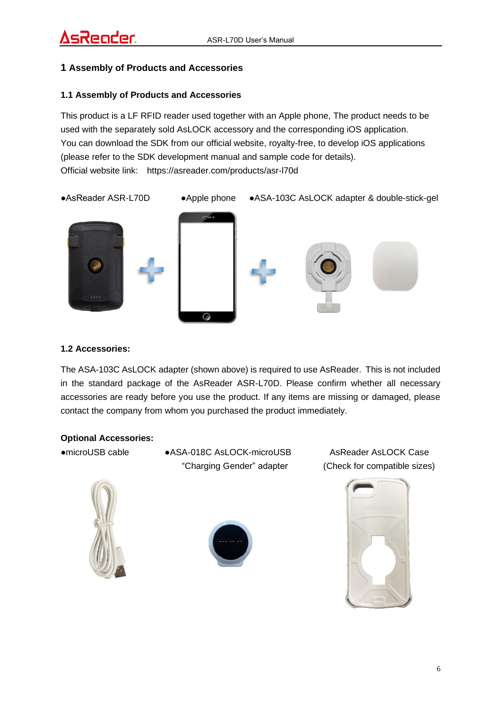#### **1 Assembly of Products and Accessories**

#### **1.1 Assembly of Products and Accessories**

This product is a LF RFID reader used together with an Apple phone, The product needs to be used with the separately sold AsLOCK accessory and the corresponding iOS application. You can download the SDK from our official website, royalty-free, to develop iOS applications (please refer to the SDK development manual and sample code for details). Official website link: https://asreader.com/products/asr-l70d



#### **1.2 Accessories:**

The ASA-103C AsLOCK adapter (shown above) is required to use AsReader. This is not included in the standard package of the AsReader ASR-L70D. Please confirm whether all necessary accessories are ready before you use the product. If any items are missing or damaged, please contact the company from whom you purchased the product immediately.

#### **Optional Accessories:**

●microUSB cable●ASA-018C AsLOCK-microUSB AsReader AsLOCK Case





"Charging Gender" adapter (Check for compatible sizes)

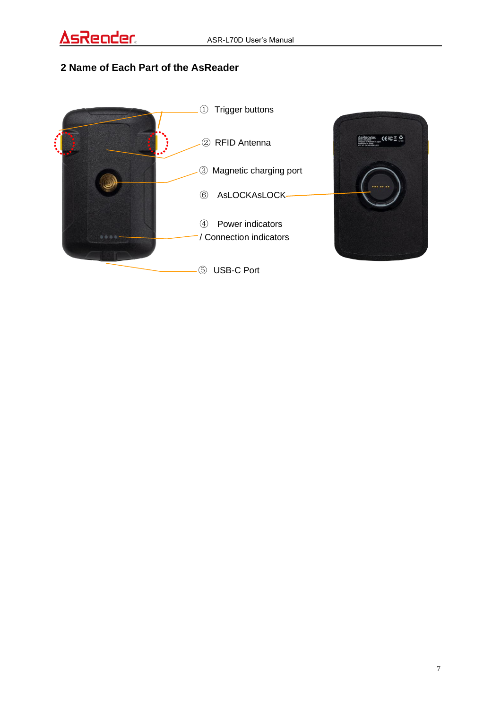### **2 Name of Each Part of the AsReader**



CEFCE O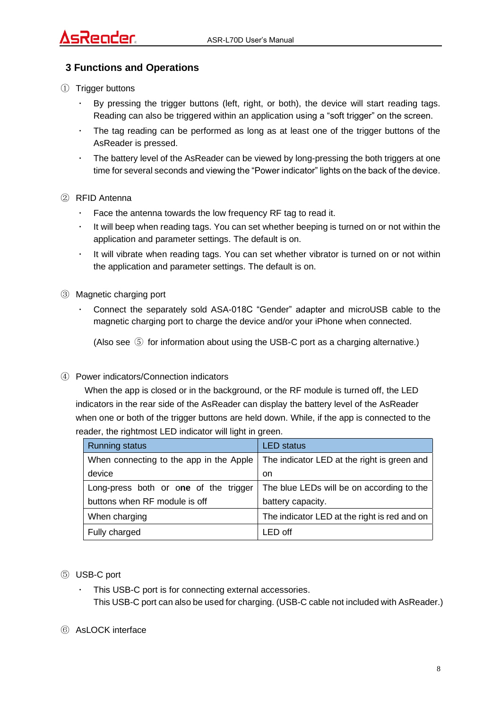#### **3 Functions and Operations**

- ① Trigger buttons
	- By pressing the trigger buttons (left, right, or both), the device will start reading tags. Reading can also be triggered within an application using a "soft trigger" on the screen.
	- The tag reading can be performed as long as at least one of the trigger buttons of the AsReader is pressed.
	- The battery level of the AsReader can be viewed by long-pressing the both triggers at one time for several seconds and viewing the "Power indicator" lights on the back of the device.
- ② RFID Antenna
	- Face the antenna towards the low frequency RF tag to read it.
	- It will beep when reading tags. You can set whether beeping is turned on or not within the application and parameter settings. The default is on.
	- It will vibrate when reading tags. You can set whether vibrator is turned on or not within the application and parameter settings. The default is on.
- ③ Magnetic charging port
	- ・ Connect the separately sold ASA-018C "Gender" adapter and microUSB cable to the magnetic charging port to charge the device and/or your iPhone when connected.

(Also see ⑤ for information about using the USB-C port as a charging alternative.)

#### ④ Power indicators/Connection indicators

When the app is closed or in the background, or the RF module is turned off, the LED indicators in the rear side of the AsReader can display the battery level of the AsReader when one or both of the trigger buttons are held down. While, if the app is connected to the reader, the rightmost LED indicator will light in green.

| <b>Running status</b>                   | <b>LED</b> status                            |
|-----------------------------------------|----------------------------------------------|
| When connecting to the app in the Apple | The indicator LED at the right is green and  |
| device                                  | on                                           |
| Long-press both or one of the trigger   | The blue LEDs will be on according to the    |
| buttons when RF module is off           | battery capacity.                            |
| When charging                           | The indicator LED at the right is red and on |
| Fully charged                           | LED off                                      |

- ⑤ USB-C port
	- This USB-C port is for connecting external accessories. This USB-C port can also be used for charging. (USB-C cable not included with AsReader.)
- ⑥ AsLOCK interface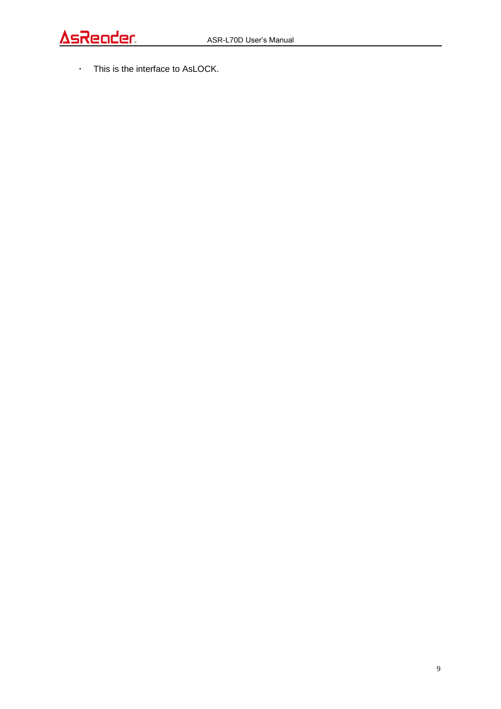・ This is the interface to AsLOCK.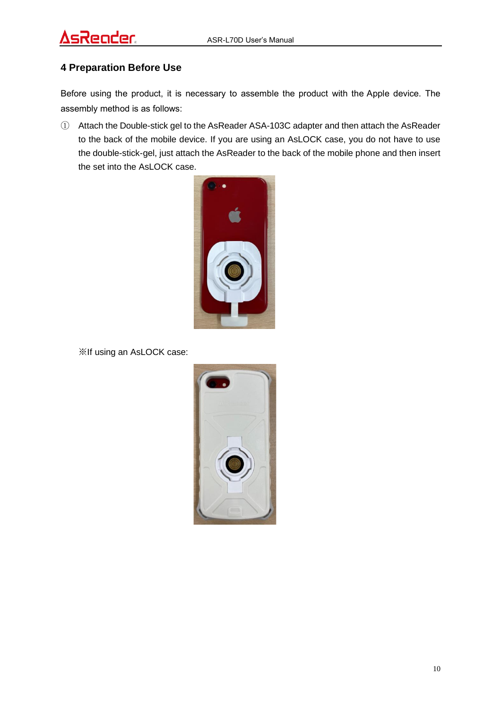#### **4 Preparation Before Use**

Before using the product, it is necessary to assemble the product with the Apple device. The assembly method is as follows:

① Attach the Double-stick gel to the AsReader ASA-103C adapter and then attach the AsReader to the back of the mobile device. If you are using an AsLOCK case, you do not have to use the double-stick-gel, just attach the AsReader to the back of the mobile phone and then insert the set into the AsLOCK case.



※If using an AsLOCK case:

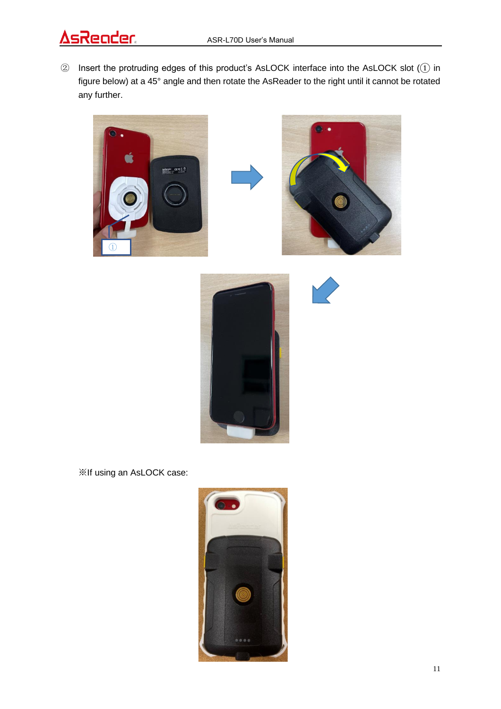### <u>AsReader</u>

② Insert the protruding edges of this product's AsLOCK interface into the AsLOCK slot (① in figure below) at a 45° angle and then rotate the AsReader to the right until it cannot be rotated any further.





※If using an AsLOCK case:

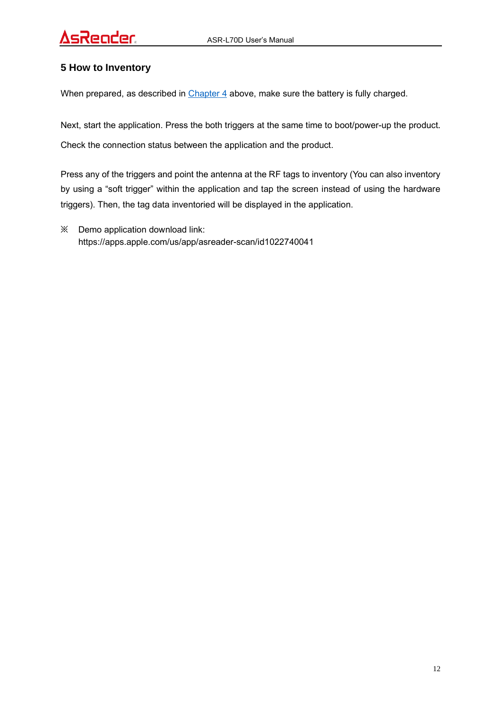#### **5 How to Inventory**

When prepared, as described in Chapter 4 above, make sure the battery is fully charged.

Next, start the application. Press the both triggers at the same time to boot/power-up the product. Check the connection status between the application and the product.

Press any of the triggers and point the antenna at the RF tags to inventory (You can also inventory by using a "soft trigger" within the application and tap the screen instead of using the hardware triggers). Then, the tag data inventoried will be displayed in the application.

※ Demo application download link: https://apps.apple.com/us/app/asreader-scan/id1022740041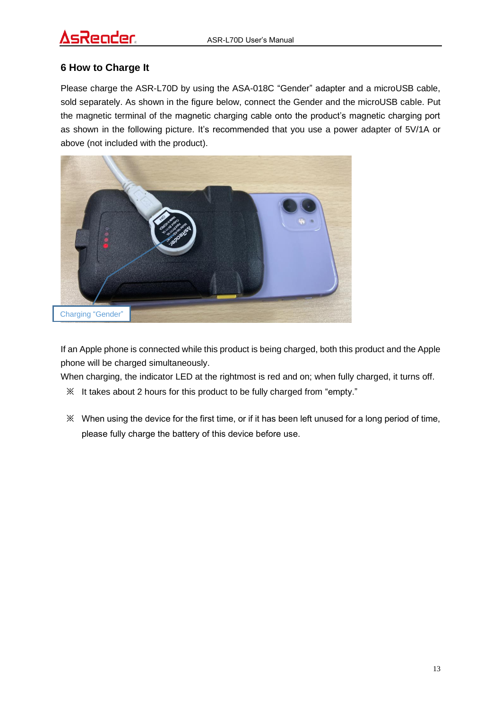### sReoder

#### **6 How to Charge It**

Please charge the ASR-L70D by using the ASA-018C "Gender" adapter and a microUSB cable, sold separately. As shown in the figure below, connect the Gender and the microUSB cable. Put the magnetic terminal of the magnetic charging cable onto the product's magnetic charging port as shown in the following picture. It's recommended that you use a power adapter of 5V/1A or above (not included with the product).



If an Apple phone is connected while this product is being charged, both this product and the Apple phone will be charged simultaneously.

When charging, the indicator LED at the rightmost is red and on; when fully charged, it turns off.

- ※ It takes about 2 hours for this product to be fully charged from "empty."
- ※ When using the device for the first time, or if it has been left unused for a long period of time, please fully charge the battery of this device before use.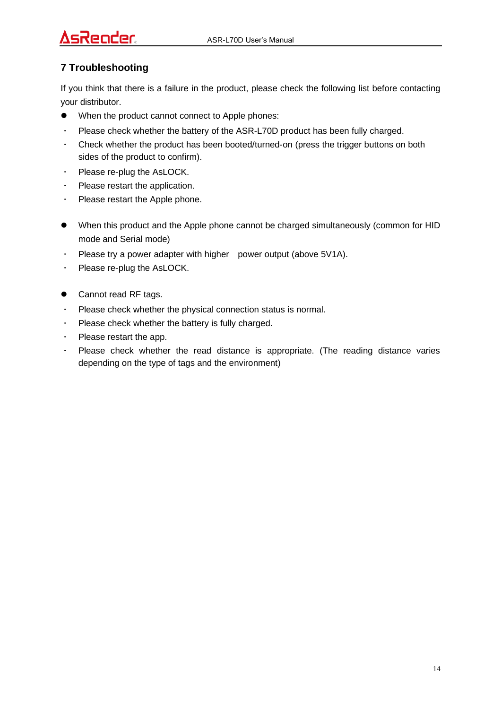## Reader

#### **7 Troubleshooting**

If you think that there is a failure in the product, please check the following list before contacting your distributor.

- When the product cannot connect to Apple phones:
- ・ Please check whether the battery of the ASR-L70D product has been fully charged.
- ・ Check whether the product has been booted/turned-on (press the trigger buttons on both sides of the product to confirm).
- ・ Please re-plug the AsLOCK.
- ・ Please restart the application.
- ・ Please restart the Apple phone.
- When this product and the Apple phone cannot be charged simultaneously (common for HID mode and Serial mode)
- ・ Please try a power adapter with higher power output (above 5V1A).
- ・ Please re-plug the AsLOCK.
- Cannot read RF tags.
- ・ Please check whether the physical connection status is normal.
- ・ Please check whether the battery is fully charged.
- ・ Please restart the app.
- Please check whether the read distance is appropriate. (The reading distance varies depending on the type of tags and the environment)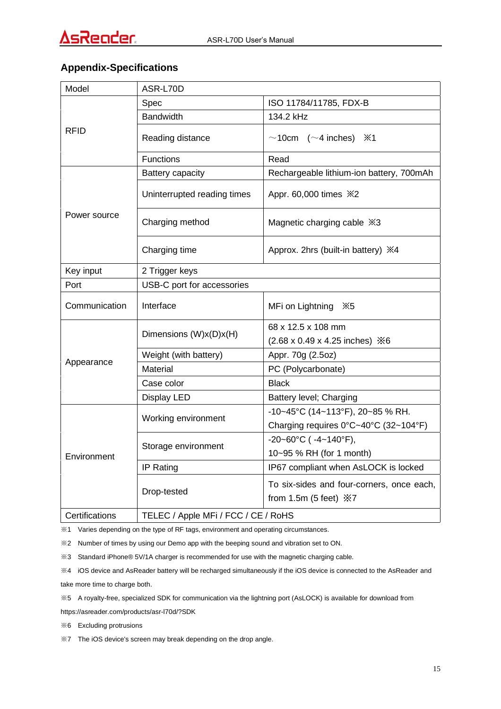#### **Appendix-Specifications**

| Model          | ASR-L70D                            |                                                                                 |
|----------------|-------------------------------------|---------------------------------------------------------------------------------|
| RFID           | Spec                                | ISO 11784/11785, FDX-B                                                          |
|                | <b>Bandwidth</b>                    | 134.2 kHz                                                                       |
|                | Reading distance                    | $\sim$ 10cm ( $\sim$ 4 inches)<br>$\divideontimes$ 1                            |
|                | <b>Functions</b>                    | Read                                                                            |
| Power source   | Battery capacity                    | Rechargeable lithium-ion battery, 700mAh                                        |
|                | Uninterrupted reading times         | Appr. 60,000 times X2                                                           |
|                | Charging method                     | Magnetic charging cable $\frac{1}{2}$ 3                                         |
|                | Charging time                       | Approx. 2hrs (built-in battery) $\divideontimes 4$                              |
| Key input      | 2 Trigger keys                      |                                                                                 |
| Port           | USB-C port for accessories          |                                                                                 |
| Communication  | Interface                           | MFi on Lightning %5                                                             |
|                | Dimensions (W)x(D)x(H)              | 68 x 12.5 x 108 mm                                                              |
|                |                                     | $(2.68 \times 0.49 \times 4.25)$ inches) $\times 6$                             |
|                | Weight (with battery)               | Appr. 70g (2.5oz)                                                               |
| Appearance     | Material                            | PC (Polycarbonate)                                                              |
|                | Case color                          | <b>Black</b>                                                                    |
|                | Display LED                         | Battery level; Charging                                                         |
|                | Working environment                 | -10~45°C (14~113°F), 20~85 % RH.                                                |
|                |                                     | Charging requires 0°C~40°C (32~104°F)                                           |
|                | Storage environment                 | $-20-60^{\circ}C$ ( $-4-140^{\circ}F$ ),                                        |
| Environment    |                                     | 10~95 % RH (for 1 month)                                                        |
|                | IP Rating                           | IP67 compliant when AsLOCK is locked                                            |
|                | Drop-tested                         | To six-sides and four-corners, once each,<br>from 1.5m (5 feet) $\frac{1}{2}$ 7 |
| Certifications | TELEC / Apple MFi / FCC / CE / RoHS |                                                                                 |

※1 Varies depending on the type of RF tags, environment and operating circumstances.

※2 Number of times by using our Demo app with the beeping sound and vibration set to ON.

※3 Standard iPhone® 5V/1A charger is recommended for use with the magnetic charging cable.

※4 iOS device and AsReader battery will be recharged simultaneously if the iOS device is connected to the AsReader and take more time to charge both.

※5 A royalty-free, specialized SDK for communication via the lightning port (AsLOCK) is available for download from

https://asreader.com/products/asr-l70d/?SDK

※6 Excluding protrusions

※7 The iOS device's screen may break depending on the drop angle.